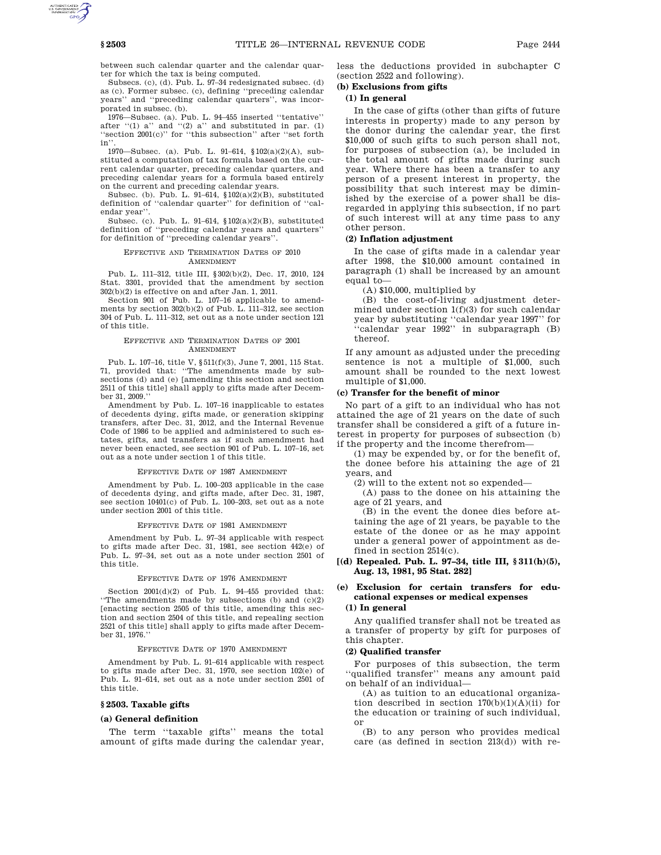between such calendar quarter and the calendar quarter for which the tax is being computed.

Subsecs. (c), (d). Pub. L. 97–34 redesignated subsec. (d) as (c). Former subsec. (c), defining ''preceding calendar years'' and ''preceding calendar quarters'', was incorporated in subsec. (b).

1976—Subsec. (a). Pub. L. 94–455 inserted ''tentative'' after " $(1)$  a" and " $(2)$  a" and substituted in par.  $(1)$ ''section 2001(c)'' for ''this subsection'' after ''set forth in''.

1970—Subsec. (a). Pub. L. 91–614, §102(a)(2)(A), substituted a computation of tax formula based on the current calendar quarter, preceding calendar quarters, and preceding calendar years for a formula based entirely on the current and preceding calendar years.

Subsec. (b). Pub. L. 91–614, §102(a)(2)(B), substituted definition of ''calendar quarter'' for definition of ''calendar year''.

Subsec. (c). Pub. L. 91–614, §102(a)(2)(B), substituted definition of ''preceding calendar years and quarters'' for definition of ''preceding calendar years''.

#### EFFECTIVE AND TERMINATION DATES OF 2010 AMENDMENT

Pub. L. 111–312, title III, §302(b)(2), Dec. 17, 2010, 124 Stat. 3301, provided that the amendment by section 302(b)(2) is effective on and after Jan. 1, 2011.

Section 901 of Pub. L. 107-16 applicable to amendments by section 302(b)(2) of Pub. L. 111-312, see section 304 of Pub. L. 111–312, set out as a note under section 121 of this title.

#### EFFECTIVE AND TERMINATION DATES OF 2001 AMENDMENT

Pub. L. 107–16, title V, §511(f)(3), June 7, 2001, 115 Stat. 71, provided that: ''The amendments made by subsections (d) and (e) [amending this section and section 2511 of this title] shall apply to gifts made after December 31, 2009.''

Amendment by Pub. L. 107–16 inapplicable to estates of decedents dying, gifts made, or generation skipping transfers, after Dec. 31, 2012, and the Internal Revenue Code of 1986 to be applied and administered to such estates, gifts, and transfers as if such amendment had never been enacted, see section 901 of Pub. L. 107–16, set out as a note under section 1 of this title.

#### EFFECTIVE DATE OF 1987 AMENDMENT

Amendment by Pub. L. 100–203 applicable in the case of decedents dying, and gifts made, after Dec. 31, 1987, see section 10401(c) of Pub. L. 100–203, set out as a note under section 2001 of this title.

#### EFFECTIVE DATE OF 1981 AMENDMENT

Amendment by Pub. L. 97–34 applicable with respect to gifts made after Dec. 31, 1981, see section 442(e) of Pub. L. 97–34, set out as a note under section 2501 of this title.

#### EFFECTIVE DATE OF 1976 AMENDMENT

Section 2001(d)(2) of Pub. L. 94–455 provided that: ''The amendments made by subsections (b) and (c)(2) [enacting section 2505 of this title, amending this section and section 2504 of this title, and repealing section 2521 of this title] shall apply to gifts made after December 31, 1976.''

#### EFFECTIVE DATE OF 1970 AMENDMENT

Amendment by Pub. L. 91–614 applicable with respect to gifts made after Dec. 31, 1970, see section 102(e) of Pub. L. 91–614, set out as a note under section 2501 of this title.

### **§ 2503. Taxable gifts**

### **(a) General definition**

The term ''taxable gifts'' means the total amount of gifts made during the calendar year, less the deductions provided in subchapter C (section 2522 and following).

# **(b) Exclusions from gifts**

## **(1) In general**

In the case of gifts (other than gifts of future interests in property) made to any person by the donor during the calendar year, the first \$10,000 of such gifts to such person shall not, for purposes of subsection (a), be included in the total amount of gifts made during such year. Where there has been a transfer to any person of a present interest in property, the possibility that such interest may be diminished by the exercise of a power shall be disregarded in applying this subsection, if no part of such interest will at any time pass to any other person.

### **(2) Inflation adjustment**

In the case of gifts made in a calendar year after 1998, the \$10,000 amount contained in paragraph (1) shall be increased by an amount equal to—

(A) \$10,000, multiplied by

(B) the cost-of-living adjustment determined under section  $1(f)(3)$  for such calendar year by substituting ''calendar year 1997'' for ''calendar year 1992'' in subparagraph (B) thereof.

If any amount as adjusted under the preceding sentence is not a multiple of \$1,000, such amount shall be rounded to the next lowest multiple of \$1,000.

### **(c) Transfer for the benefit of minor**

No part of a gift to an individual who has not attained the age of 21 years on the date of such transfer shall be considered a gift of a future interest in property for purposes of subsection (b) if the property and the income therefrom—

(1) may be expended by, or for the benefit of, the donee before his attaining the age of 21 years, and

(2) will to the extent not so expended—

(A) pass to the donee on his attaining the age of 21 years, and

(B) in the event the donee dies before attaining the age of 21 years, be payable to the estate of the donee or as he may appoint under a general power of appointment as defined in section 2514(c).

## **[(d) Repealed. Pub. L. 97–34, title III, § 311(h)(5), Aug. 13, 1981, 95 Stat. 282]**

# **(e) Exclusion for certain transfers for educational expenses or medical expenses**

## **(1) In general**

Any qualified transfer shall not be treated as a transfer of property by gift for purposes of this chapter.

#### **(2) Qualified transfer**

For purposes of this subsection, the term ''qualified transfer'' means any amount paid on behalf of an individual—

(A) as tuition to an educational organization described in section  $170(b)(1)(A)(ii)$  for the education or training of such individual, or

(B) to any person who provides medical care (as defined in section 213(d)) with re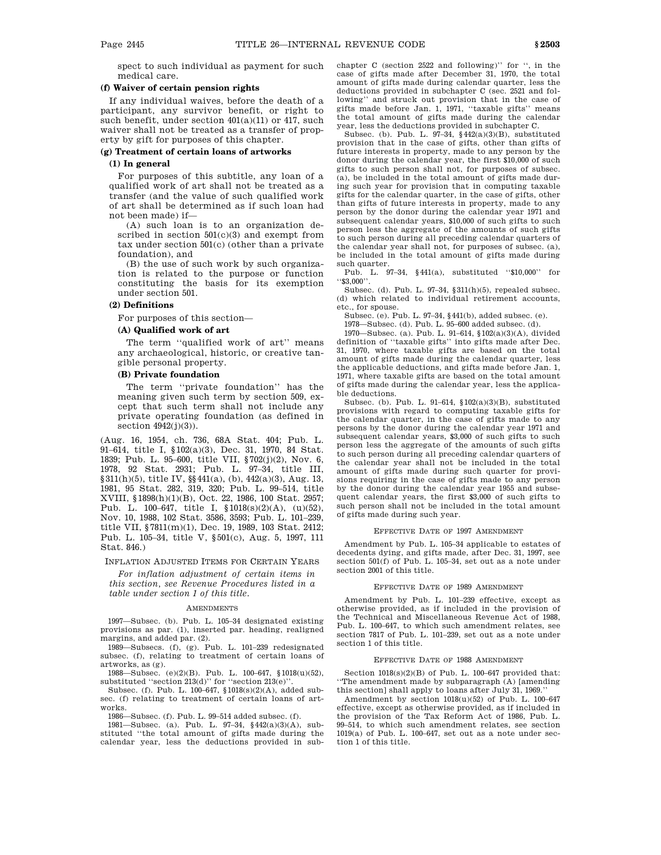spect to such individual as payment for such medical care.

### **(f) Waiver of certain pension rights**

If any individual waives, before the death of a participant, any survivor benefit, or right to such benefit, under section 401(a)(11) or 417, such waiver shall not be treated as a transfer of property by gift for purposes of this chapter.

#### **(g) Treatment of certain loans of artworks**

### **(1) In general**

For purposes of this subtitle, any loan of a qualified work of art shall not be treated as a transfer (and the value of such qualified work of art shall be determined as if such loan had not been made) if—

(A) such loan is to an organization described in section 501(c)(3) and exempt from tax under section 501(c) (other than a private foundation), and

(B) the use of such work by such organization is related to the purpose or function constituting the basis for its exemption under section 501.

### **(2) Definitions**

For purposes of this section—

### **(A) Qualified work of art**

The term ''qualified work of art'' means any archaeological, historic, or creative tangible personal property.

## **(B) Private foundation**

The term ''private foundation'' has the meaning given such term by section 509, except that such term shall not include any private operating foundation (as defined in section 4942(j)(3)).

(Aug. 16, 1954, ch. 736, 68A Stat. 404; Pub. L. 91–614, title I, §102(a)(3), Dec. 31, 1970, 84 Stat. 1839; Pub. L. 95–600, title VII, §702(j)(2), Nov. 6, 1978, 92 Stat. 2931; Pub. L. 97–34, title III, §311(h)(5), title IV, §§441(a), (b), 442(a)(3), Aug. 13, 1981, 95 Stat. 282, 319, 320; Pub. L. 99–514, title XVIII, §1898(h)(1)(B), Oct. 22, 1986, 100 Stat. 2957; Pub. L. 100–647, title I, §1018(s)(2)(A), (u)(52), Nov. 10, 1988, 102 Stat. 3586, 3593; Pub. L. 101–239, title VII, §7811(m)(1), Dec. 19, 1989, 103 Stat. 2412; Pub. L. 105–34, title V, §501(c), Aug. 5, 1997, 111 Stat. 846.)

INFLATION ADJUSTED ITEMS FOR CERTAIN YEARS

*For inflation adjustment of certain items in this section, see Revenue Procedures listed in a table under section 1 of this title.*

#### AMENDMENTS

1997—Subsec. (b). Pub. L. 105–34 designated existing provisions as par. (1), inserted par. heading, realigned margins, and added par. (2).

1989—Subsecs. (f), (g). Pub. L. 101–239 redesignated subsec. (f), relating to treatment of certain loans of artworks, as (g).

1988—Subsec. (e)(2)(B). Pub. L. 100–647, §1018(u)(52), substituted "section  $213(d)$ " for "section  $213(e)$ "

Subsec. (f). Pub. L. 100–647, §1018(s)(2)(A), added subsec. (f) relating to treatment of certain loans of artworks.

1986—Subsec. (f). Pub. L. 99–514 added subsec. (f).

1981—Subsec. (a). Pub. L. 97–34, §442(a)(3)(A), substituted ''the total amount of gifts made during the calendar year, less the deductions provided in subchapter C (section 2522 and following)'' for '', in the case of gifts made after December 31, 1970, the total amount of gifts made during calendar quarter, less the deductions provided in subchapter C (sec. 2521 and following'' and struck out provision that in the case of gifts made before Jan. 1, 1971, ''taxable gifts'' means the total amount of gifts made during the calendar year, less the deductions provided in subchapter C.

Subsec. (b). Pub. L. 97–34,  $§442(a)(3)(B)$ , substituted provision that in the case of gifts, other than gifts of future interests in property, made to any person by the donor during the calendar year, the first \$10,000 of such gifts to such person shall not, for purposes of subsec. (a), be included in the total amount of gifts made during such year for provision that in computing taxable gifts for the calendar quarter, in the case of gifts, other than gifts of future interests in property, made to any person by the donor during the calendar year 1971 and subsequent calendar years, \$10,000 of such gifts to such person less the aggregate of the amounts of such gifts to such person during all preceding calendar quarters of the calendar year shall not, for purposes of subsec. (a), be included in the total amount of gifts made during such quarter.

Pub. L. 97–34, §441(a), substituted ''\$10,000'' for ''\$3,000''.

Subsec. (d). Pub. L. 97–34, §311(h)(5), repealed subsec. (d) which related to individual retirement accounts, etc., for spouse.

Subsec. (e). Pub. L. 97–34, §441(b), added subsec. (e).

1978—Subsec. (d). Pub. L. 95–600 added subsec. (d).

1970—Subsec. (a). Pub. L. 91–614, §102(a)(3)(A), divided definition of ''taxable gifts'' into gifts made after Dec. 31, 1970, where taxable gifts are based on the total amount of gifts made during the calendar quarter, less the applicable deductions, and gifts made before Jan. 1, 1971, where taxable gifts are based on the total amount of gifts made during the calendar year, less the applicable deductions.

Subsec. (b). Pub. L. 91–614, §102(a)(3)(B), substituted provisions with regard to computing taxable gifts for the calendar quarter, in the case of gifts made to any persons by the donor during the calendar year 1971 and subsequent calendar years, \$3,000 of such gifts to such person less the aggregate of the amounts of such gifts to such person during all preceding calendar quarters of the calendar year shall not be included in the total amount of gifts made during such quarter for provisions requiring in the case of gifts made to any person by the donor during the calendar year 1955 and subsequent calendar years, the first \$3,000 of such gifts to such person shall not be included in the total amount of gifts made during such year.

#### EFFECTIVE DATE OF 1997 AMENDMENT

Amendment by Pub. L. 105–34 applicable to estates of decedents dying, and gifts made, after Dec. 31, 1997, see section 501(f) of Pub. L. 105–34, set out as a note under section 2001 of this title.

### EFFECTIVE DATE OF 1989 AMENDMENT

Amendment by Pub. L. 101–239 effective, except as otherwise provided, as if included in the provision of the Technical and Miscellaneous Revenue Act of 1988, Pub. L. 100–647, to which such amendment relates, see section 7817 of Pub. L. 101–239, set out as a note under section 1 of this title.

#### EFFECTIVE DATE OF 1988 AMENDMENT

Section 1018(s)(2)(B) of Pub. L. 100–647 provided that: ''The amendment made by subparagraph (A) [amending this section] shall apply to loans after July 31, 1969.''

Amendment by section 1018(u)(52) of Pub. L. 100–647 effective, except as otherwise provided, as if included in the provision of the Tax Reform Act of 1986, Pub. L. 99–514, to which such amendment relates, see section 1019(a) of Pub. L. 100–647, set out as a note under section 1 of this title.